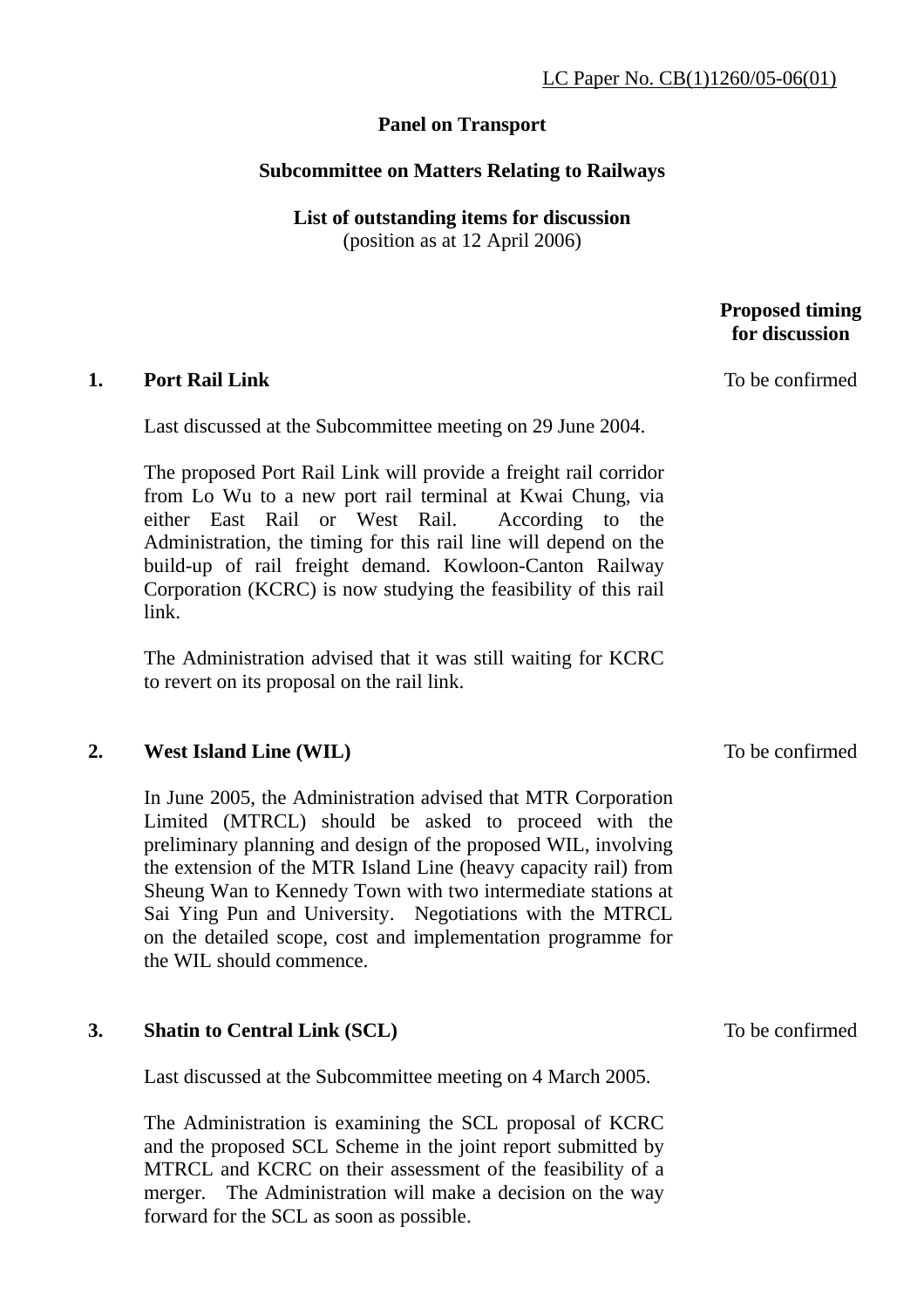# **Panel on Transport**

# **Subcommittee on Matters Relating to Railways**

**List of outstanding items for discussion**  (position as at 12 April 2006)

#### **Proposed timing for discussion**

**1. Port Rail Link** 

Last discussed at the Subcommittee meeting on 29 June 2004.

The proposed Port Rail Link will provide a freight rail corridor from Lo Wu to a new port rail terminal at Kwai Chung, via either East Rail or West Rail. According to the Administration, the timing for this rail line will depend on the build-up of rail freight demand. Kowloon-Canton Railway Corporation (KCRC) is now studying the feasibility of this rail link.

The Administration advised that it was still waiting for KCRC to revert on its proposal on the rail link.

#### **2. West Island Line (WIL)**

In June 2005, the Administration advised that MTR Corporation Limited (MTRCL) should be asked to proceed with the preliminary planning and design of the proposed WIL, involving the extension of the MTR Island Line (heavy capacity rail) from Sheung Wan to Kennedy Town with two intermediate stations at Sai Ying Pun and University. Negotiations with the MTRCL on the detailed scope, cost and implementation programme for the WIL should commence.

# **3. Shatin to Central Link (SCL)**

Last discussed at the Subcommittee meeting on 4 March 2005.

The Administration is examining the SCL proposal of KCRC and the proposed SCL Scheme in the joint report submitted by MTRCL and KCRC on their assessment of the feasibility of a merger. The Administration will make a decision on the way forward for the SCL as soon as possible.

To be confirmed

#### To be confirmed

To be confirmed